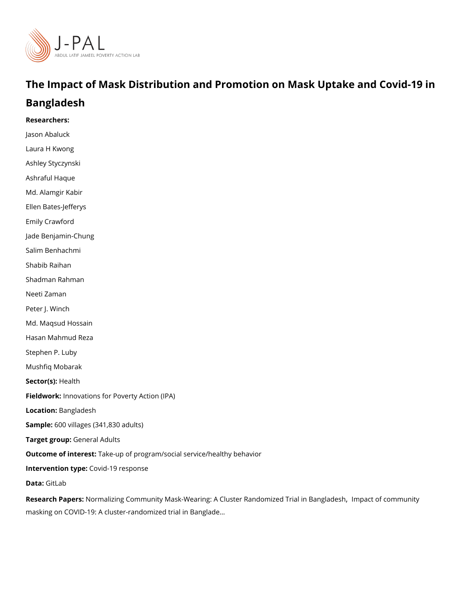# The Impact of Mask Distribution and Promotion on MasknUpt Bangladesh

Researchers:

Jason Abaluck Laura H Kwong Ashley Styczynski Ashraful Haque Md. Alamgir Kabir Ellen Bates-Jefferys Emily Crawford Jade Benjamin-Chung Salim Benhachmi Shabib Raihan Shadman Rahman Neeti Zaman Peter J. Winch Md. Maqsud Hossain Hasan Mahmud Reza Stephen P. Luby [Mushfiq Mo](https://www.povertyactionlab.org/person/mobarak)barak Sector(Hst)alth Fieldworkhovations for Poverty Action (IPA) Locatio Bangladesh Sample6:00 villages (341,830 adults) Target groGpneral Adults Outcome of inteleste: up of program/social service/healthy behavior Intervention topwid-19 response Data[GitL](https://gitlab.com/emily-crawford/bd-mask-rct)ab

Research Paplersmalizing Community Mask-Wearing: A Cluster Rand[,](https://www.nber.org/papers/w28734) olmmipzæcdt To fi an bin malantgylad [masking on COVID-19: A cluster-randomi](https://doi.org/10.1126/science.abi9069)zed trial in Banglade &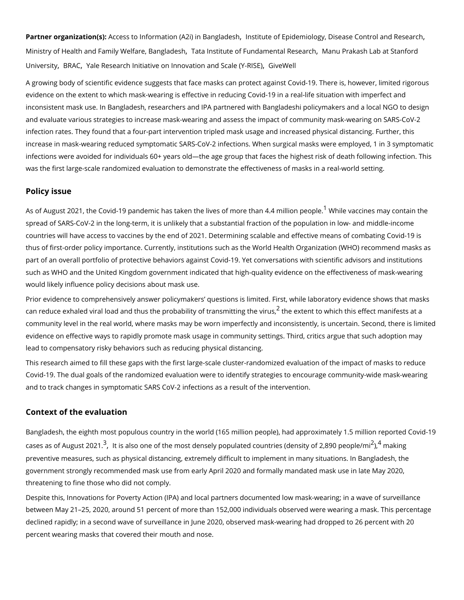Partner organizatAccress) to Information (A2i)[,](https://www.povertyactionlab.org/partners/institute-epidemiology-disease-control-and-research) insBiatnoglead & Epidemiology, Disease Control and Research , Research , Institute and Research , Institute and Research , Institute and Research , Institute , Institute , In [Ministry of Health and Family We](https://www.povertyactionlab.org/partners/ministry-health-and-family-welfare-bangladesh)lfTaartea[,](https://www.povertyactionlab.org/partners/tata-institute-fundamental-research) Bhasntigtluatdee of Fundamen Madin Rue Beankash Lab at Stanfor [Univer](https://www.povertyactionlab.org/partners/manu-prakash-lab-stanford-university)siBRA[,](https://www.povertyactionlab.org/partners/yale-research-initiative-innovation-and-scale-y-rise) C[Yale Research Initiative on Innovati](https://www.povertyactionlab.org/partners/yale-research-initiative-innovation-and-scale-y-rise)on Giarred W & blale (Y-RISE)

A growing body of scientific evidence suggests that face masks can protect against Covid evidence on the extent to which mask-wearing is effective in reducing Covid-19 in a realinconsistent mask use. In Bangladesh, researchers and IPA partnered with Bangladeshi po and evaluate various strategies to increase mask-wearing and assess the impact of commi infection rates. They found that a four-part intervention tripled mask usage and increased increase in mask-wearing reduced symptomatic SARS-CoV-2 infections. When surgical mas infections were avoided for individuals 60+ years old the age group that faces the highes was the first large-scale randomized evaluation to demonstrate the effectiveness of mask

#### Policy issue

As of August 202[1](#page-5-0), the Covid-19 pandemic has taken the lives Wifh**mereathanes.4n anyiltico**mtapien spread of SARS-CoV-2 in the long-term, it is unlikely that a substantial fraction of the po countries will have access to vaccines by the end of 2021. Determining scalable and effed thus of first-order policy importance. Currently, institutions such as the World Health Org part of an overall portfolio of protective behaviors against Covid-19. Yet conversations w such as WHO and the United Kingdom government indicated that high-quality evidence on would likely influence policy decisions about mask use.

Prior evidence to comprehensively answer policymakers questions is limited. First, while can reduce exhaled viral load and thus the probabil $\hat{f}$ tyhefetx taennstmitiot twhigicthiet hwis ruesffect manife community level in the real world, where masks may be worn imperfectly and inconsistentl evidence on effective ways to rapidly promote mask usage in community settings. Third, c lead to compensatory risky behaviors such as reducing physical distancing.

This research aimed to fill these gaps with the first large-scale cluster-randomized evaluation of the impact of masks to reduce to reduce to reduce to reduce to reduce to reduce to reduce to reduce to reduce to reduce to Covid-19. The dual goals of the randomized evaluation were to identify strategies to enco and to track changes in symptomatic SARS CoV-2 infections as a result of the interventio

#### Context of the evaluation

Bangladesh, the eighth most populous country in the world (165 million people), had appr cases as of Aug $\hat{d}$ [,](#page-5-0) stt 2 $\hat{a}$ lso one of the most densely populated countrie $\hat{d}$ ,  $\hat{d}$  (cheank sintagy of 2,890) preventive measures, such as physical distancing, extremely difficult to implement in man government strongly recommended mask use from early April 2020 and formally mandated threatening to fine those who did not comply.

Despite this, Innovations for Poverty Action (IPA) and local partners documented low mas between May 21 25, 2020, around 51 percent of more than 152,000 individuals observed w declined rapidly; in a second wave of surveillance in June 2020, observed mask-wearing had percent wearing masks that covered their mouth and nose.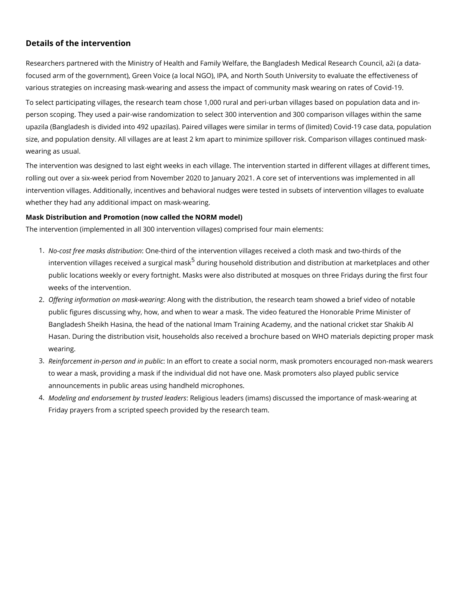#### Details of the intervention

Researchers partnered with the Ministry of Health and Family Welfare, the Bangladesh Me focused arm of the government), Green Voice (a local NGO), IPA, and North South Univers various strategies on increasing mask-wearing and assess the impact of community mask

To select participating villages, the research team chose 1,000 rural and peri-urban villages person scoping. They used a pair-wise randomization to select 300 intervention and 300 c upazila (Bangladesh is divided into 492 upazilas). Paired villages were similar in terms o size, and population density. All villages are at least 2 km apart to minimize spillover ris wearing as usual.

The intervention was designed to last eight weeks in each village. The intervention starte rolling out over a six-week period from November 2020 to January 2021. A core set of inte intervention villages. Additionally, incentives and behavioral nudges were tested in subse whether they had any additional impact on mask-wearing.

Mask Distribution and Promotion (now called the NORM model) The intervention (implemented in all 300 intervention villages) comprised four main eleme

- 1. No-cost free masks: d@srteibbitid nof the intervention villages received a cloth mask and intervention villages received $^5$  $^5$  adusnuinggichaolums mats distribution and distribution at marketplaces and other and other and  $\epsilon$ public locations weekly or every fortnight. Masks were also distributed at mosques o weeks of the intervention.
- 2. Offering information on mask-cknewearing he distribution, the research team showed a brief video of  $n$ public figures discussing why, how, and when to wear a mask. The video featured the Bangladesh Sheikh Hasina, the head of the national Imam Training Academy, and the Hasan. During the distribution visit, households also received a brochure based on W wearing.
- 3.Reinforcement in-person am dan nepfuddriticto create a social norm, mask promoters encour to wear a mask, providing a mask if the individual did not have one. Mask promoters announcements in public areas using handheld microphones.
- 4. Modeling and endorsement by  $R$ reul $s$ géodu be andæders (imams) discussed the importance of Friday prayers from a scripted speech provided by the research team.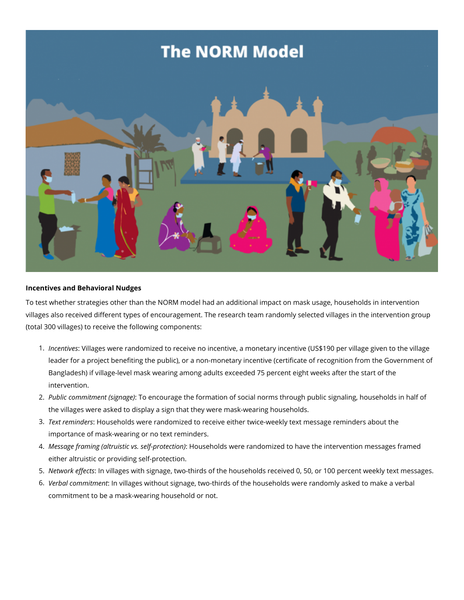# **The NORM Model**



### **Incentives and Behavioral Nudges**

To test whether strategies other than the NORM model had an additional impact on mask usage, households in intervention villages also received different types of encouragement. The research team randomly selected villages in the intervention group (total 300 villages) to receive the following components:

- 1. *Incentives*: Villages were randomized to receive no incentive, a monetary incentive (US\$190 per village given to the village leader for a project benefiting the public), or a non-monetary incentive (certificate of recognition from the Government of Bangladesh) if village-level mask wearing among adults exceeded 75 percent eight weeks after the start of the intervention.
- 2. *Public commitment (signage)*: To encourage the formation of social norms through public signaling, households in half of the villages were asked to display a sign that they were mask-wearing households.
- 3. *Text reminders*: Households were randomized to receive either twice-weekly text message reminders about the importance of mask-wearing or no text reminders.
- 4. *Message framing (altruistic vs. self-protection)*: Households were randomized to have the intervention messages framed either altruistic or providing self-protection.
- 5. *Network effects*: In villages with signage, two-thirds of the households received 0, 50, or 100 percent weekly text messages.
- 6. *Verbal commitment*: In villages without signage, two-thirds of the households were randomly asked to make a verbal commitment to be a mask-wearing household or not.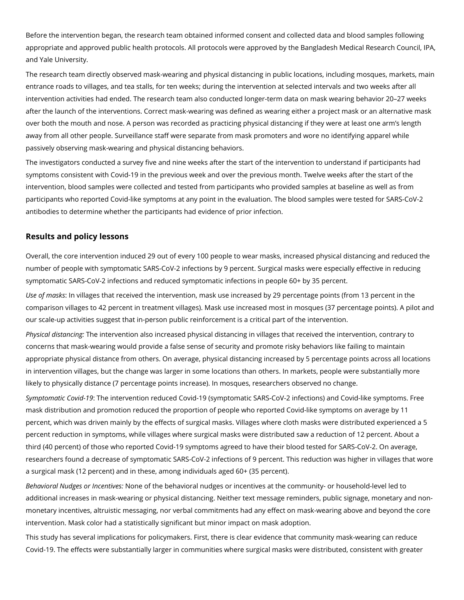Before the intervention began, the research team obtained informed consent and collected data and blood samples following appropriate and approved public health protocols. All protocols were approved by the Bangladesh Medical Research Council, IPA, and Yale University.

The research team directly observed mask-wearing and physical distancing in public locations, including mosques, markets, main entrance roads to villages, and tea stalls, for ten weeks; during the intervention at selected intervals and two weeks after all intervention activities had ended. The research team also conducted longer-term data on mask wearing behavior 20–27 weeks after the launch of the interventions. Correct mask-wearing was defined as wearing either a project mask or an alternative mask over both the mouth and nose. A person was recorded as practicing physical distancing if they were at least one arm's length away from all other people. Surveillance staff were separate from mask promoters and wore no identifying apparel while passively observing mask-wearing and physical distancing behaviors.

The investigators conducted a survey five and nine weeks after the start of the intervention to understand if participants had symptoms consistent with Covid-19 in the previous week and over the previous month. Twelve weeks after the start of the intervention, blood samples were collected and tested from participants who provided samples at baseline as well as from participants who reported Covid-like symptoms at any point in the evaluation. The blood samples were tested for SARS-CoV-2 antibodies to determine whether the participants had evidence of prior infection.

## **Results and policy lessons**

Overall, the core intervention induced 29 out of every 100 people to wear masks, increased physical distancing and reduced the number of people with symptomatic SARS-CoV-2 infections by 9 percent. Surgical masks were especially effective in reducing symptomatic SARS-CoV-2 infections and reduced symptomatic infections in people 60+ by 35 percent.

*Use of masks*: In villages that received the intervention, mask use increased by 29 percentage points (from 13 percent in the comparison villages to 42 percent in treatment villages). Mask use increased most in mosques (37 percentage points). A pilot and our scale-up activities suggest that in-person public reinforcement is a critical part of the intervention.

*Physical distancing:* The intervention also increased physical distancing in villages that received the intervention, contrary to concerns that mask-wearing would provide a false sense of security and promote risky behaviors like failing to maintain appropriate physical distance from others. On average, physical distancing increased by 5 percentage points across all locations in intervention villages, but the change was larger in some locations than others. In markets, people were substantially more likely to physically distance (7 percentage points increase). In mosques, researchers observed no change.

*Symptomatic Covid-19*: The intervention reduced Covid-19 (symptomatic SARS-CoV-2 infections) and Covid-like symptoms. Free mask distribution and promotion reduced the proportion of people who reported Covid-like symptoms on average by 11 percent, which was driven mainly by the effects of surgical masks. Villages where cloth masks were distributed experienced a 5 percent reduction in symptoms, while villages where surgical masks were distributed saw a reduction of 12 percent. About a third (40 percent) of those who reported Covid-19 symptoms agreed to have their blood tested for SARS-CoV-2. On average, researchers found a decrease of symptomatic SARS-CoV-2 infections of 9 percent. This reduction was higher in villages that wore a surgical mask (12 percent) and in these, among individuals aged 60+ (35 percent).

*Behavioral Nudges or Incentives:* None of the behavioral nudges or incentives at the community- or household-level led to additional increases in mask-wearing or physical distancing. Neither text message reminders, public signage, monetary and nonmonetary incentives, altruistic messaging, nor verbal commitments had any effect on mask-wearing above and beyond the core intervention. Mask color had a statistically significant but minor impact on mask adoption.

This study has several implications for policymakers. First, there is clear evidence that community mask-wearing can reduce Covid-19. The effects were substantially larger in communities where surgical masks were distributed, consistent with greater